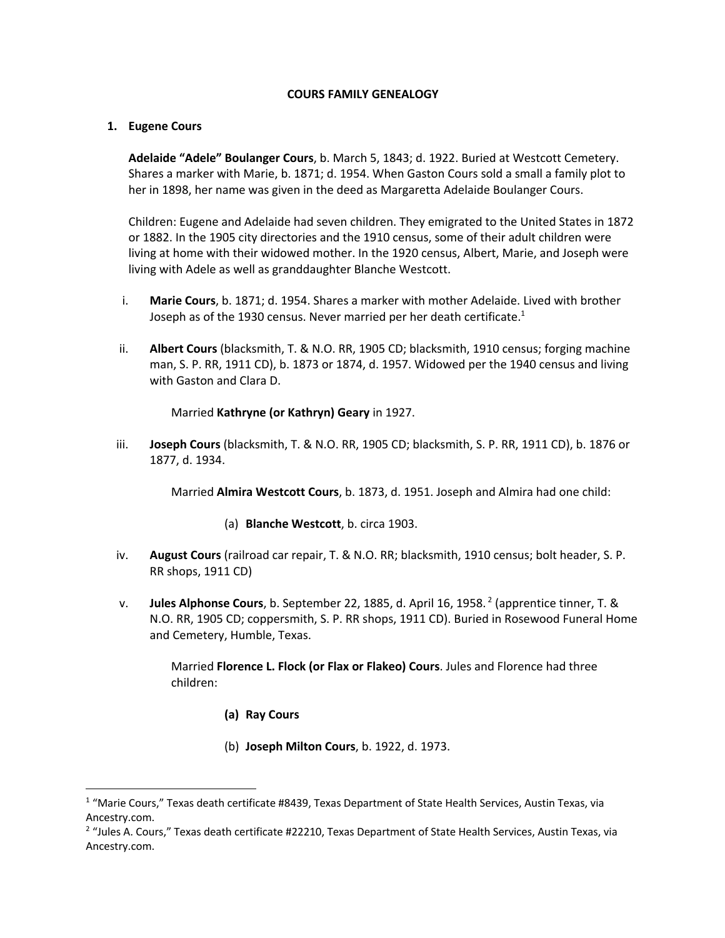## **COURS FAMILY GENEALOGY**

## **1. Eugene Cours**

**Adelaide "Adele" Boulanger Cours**, b. March 5, 1843; d. 1922. Buried at Westcott Cemetery. Shares a marker with Marie, b. 1871; d. 1954. When Gaston Cours sold a small a family plot to her in 1898, her name was given in the deed as Margaretta Adelaide Boulanger Cours.

Children: Eugene and Adelaide had seven children. They emigrated to the United States in 1872 or 1882. In the 1905 city directories and the 1910 census, some of their adult children were living at home with their widowed mother. In the 1920 census, Albert, Marie, and Joseph were living with Adele as well as granddaughter Blanche Westcott.

- i. **Marie Cours**, b. 1871; d. 1954. Shares a marker with mother Adelaide. Lived with brother Joseph as of the 1930 census. Never married per her death certificate. $1$
- ii. **Albert Cours** (blacksmith, T. & N.O. RR, 1905 CD; blacksmith, 1910 census; forging machine man, S. P. RR, 1911 CD), b. 1873 or 1874, d. 1957. Widowed per the 1940 census and living with Gaston and Clara D.

Married **Kathryne (or Kathryn) Geary** in 1927.

iii. **Joseph Cours** (blacksmith, T. & N.O. RR, 1905 CD; blacksmith, S. P. RR, 1911 CD), b. 1876 or 1877, d. 1934.

Married **Almira Westcott Cours**, b. 1873, d. 1951. Joseph and Almira had one child:

- (a) **Blanche Westcott**, b. circa 1903.
- iv. **August Cours** (railroad car repair, T. & N.O. RR; blacksmith, 1910 census; bolt header, S. P. RR shops, 1911 CD)
- v. **Jules Alphonse Cours**, b. September 22, 1885, d. April 16, 1958. <sup>2</sup> (apprentice tinner, T. & N.O. RR, 1905 CD; coppersmith, S. P. RR shops, 1911 CD). Buried in Rosewood Funeral Home and Cemetery, Humble, Texas.

Married **Florence L. Flock (or Flax or Flakeo) Cours**. Jules and Florence had three children:

- **(a) Ray Cours**
- (b) **Joseph Milton Cours**, b. 1922, d. 1973.

<sup>1</sup> "Marie Cours," Texas death certificate #8439, Texas Department of State Health Services, Austin Texas, via Ancestry.com.

 $2$  "Jules A. Cours," Texas death certificate #22210, Texas Department of State Health Services, Austin Texas, via Ancestry.com.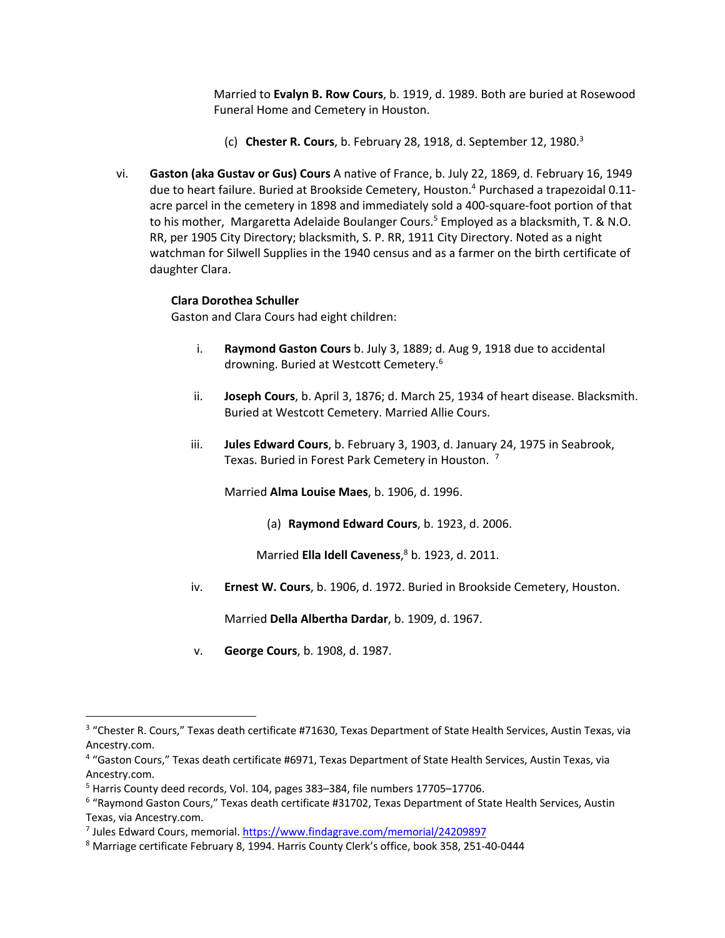Married to **Evalyn B. Row Cours**, b. 1919, d. 1989. Both are buried at Rosewood Funeral Home and Cemetery in Houston.

- (c) **Chester R. Cours**, b. February 28, 1918, d. September 12, 1980.3
- vi. **Gaston (aka Gustav or Gus) Cours** A native of France, b. July 22, 1869, d. February 16, 1949 due to heart failure. Buried at Brookside Cemetery, Houston. <sup>4</sup> Purchased a trapezoidal 0.11 acre parcel in the cemetery in 1898 and immediately sold a 400-square-foot portion of that to his mother, Margaretta Adelaide Boulanger Cours.<sup>5</sup> Employed as a blacksmith, T. & N.O. RR, per 1905 City Directory; blacksmith, S. P. RR, 1911 City Directory. Noted as a night watchman for Silwell Supplies in the 1940 census and as a farmer on the birth certificate of daughter Clara.

## **Clara Dorothea Schuller**

Gaston and Clara Cours had eight children:

- i. **Raymond Gaston Cours** b. July 3, 1889; d. Aug 9, 1918 due to accidental drowning. Buried at Westcott Cemetery.6
- ii. **Joseph Cours**, b. April 3, 1876; d. March 25, 1934 of heart disease. Blacksmith. Buried at Westcott Cemetery. Married Allie Cours.
- iii. **Jules Edward Cours**, b. February 3, 1903, d. January 24, 1975 in Seabrook, Texas. Buried in Forest Park Cemetery in Houston. 7

Married **Alma Louise Maes**, b. 1906, d. 1996.

(a) **Raymond Edward Cours**, b. 1923, d. 2006.

Married **Ella Idell Caveness**, <sup>8</sup> b. 1923, d. 2011.

iv. **Ernest W. Cours**, b. 1906, d. 1972. Buried in Brookside Cemetery, Houston.

Married **Della Albertha Dardar**, b. 1909, d. 1967.

v. **George Cours**, b. 1908, d. 1987.

<sup>&</sup>lt;sup>3</sup> "Chester R. Cours," Texas death certificate #71630, Texas Department of State Health Services, Austin Texas, via Ancestry.com.

<sup>4</sup> "Gaston Cours," Texas death certificate #6971, Texas Department of State Health Services, Austin Texas, via Ancestry.com.

<sup>5</sup> Harris County deed records, Vol. 104, pages 383–384, file numbers 17705–17706.

<sup>6</sup> "Raymond Gaston Cours," Texas death certificate #31702, Texas Department of State Health Services, Austin Texas, via Ancestry.com.

<sup>7</sup> Jules Edward Cours, memorial. https://www.findagrave.com/memorial/24209897

<sup>&</sup>lt;sup>8</sup> Marriage certificate February 8, 1994. Harris County Clerk's office, book 358, 251-40-0444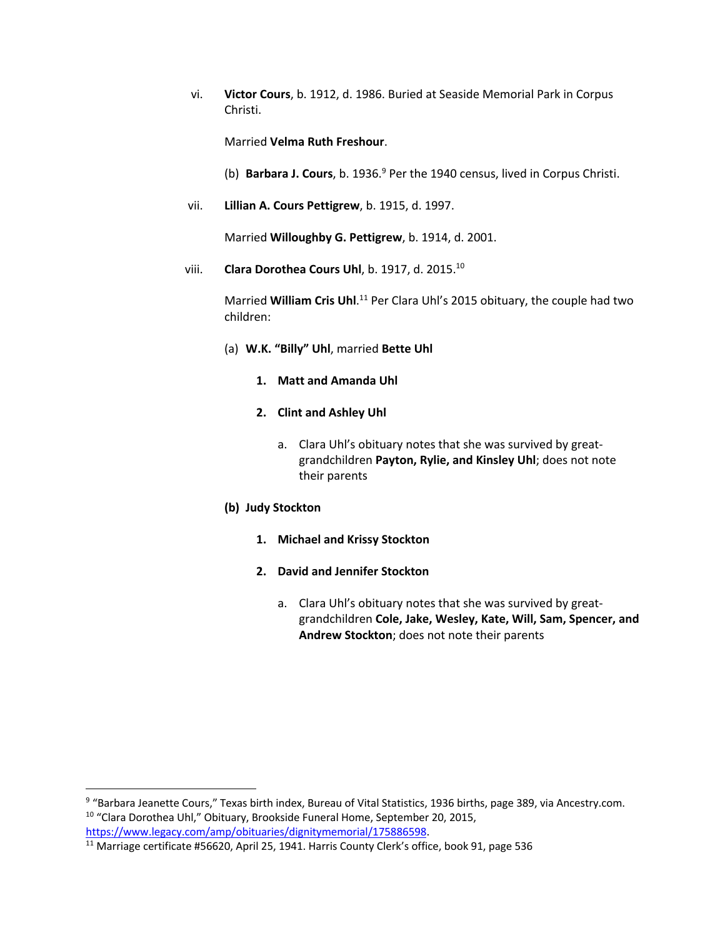vi. **Victor Cours**, b. 1912, d. 1986. Buried at Seaside Memorial Park in Corpus Christi.

Married **Velma Ruth Freshour**.

- (b) **Barbara J. Cours**, b. 1936. <sup>9</sup> Per the 1940 census, lived in Corpus Christi.
- vii. **Lillian A. Cours Pettigrew**, b. 1915, d. 1997.

Married **Willoughby G. Pettigrew**, b. 1914, d. 2001.

viii. **Clara Dorothea Cours Uhl**, b. 1917, d. 2015. 10

Married William Cris Uhl.<sup>11</sup> Per Clara Uhl's 2015 obituary, the couple had two children:

- (a) **W.K. "Billy" Uhl**, married **Bette Uhl**
	- **1. Matt and Amanda Uhl**
	- **2. Clint and Ashley Uhl**
		- a. Clara Uhl's obituary notes that she was survived by greatgrandchildren **Payton, Rylie, and Kinsley Uhl**; does not note their parents

## **(b) Judy Stockton**

- **1. Michael and Krissy Stockton**
- **2. David and Jennifer Stockton**
	- a. Clara Uhl's obituary notes that she was survived by greatgrandchildren **Cole, Jake, Wesley, Kate, Will, Sam, Spencer, and Andrew Stockton**; does not note their parents

<sup>9</sup> "Barbara Jeanette Cours," Texas birth index, Bureau of Vital Statistics, 1936 births, page 389, via Ancestry.com. <sup>10</sup> "Clara Dorothea Uhl," Obituary, Brookside Funeral Home, September 20, 2015, https://www.legacy.com/amp/obituaries/dignitymemorial/175886598.

 $\overline{^{11}}$  Marriage certificate #56620, April 25, 1941. Harris County Clerk's office, book 91, page 536